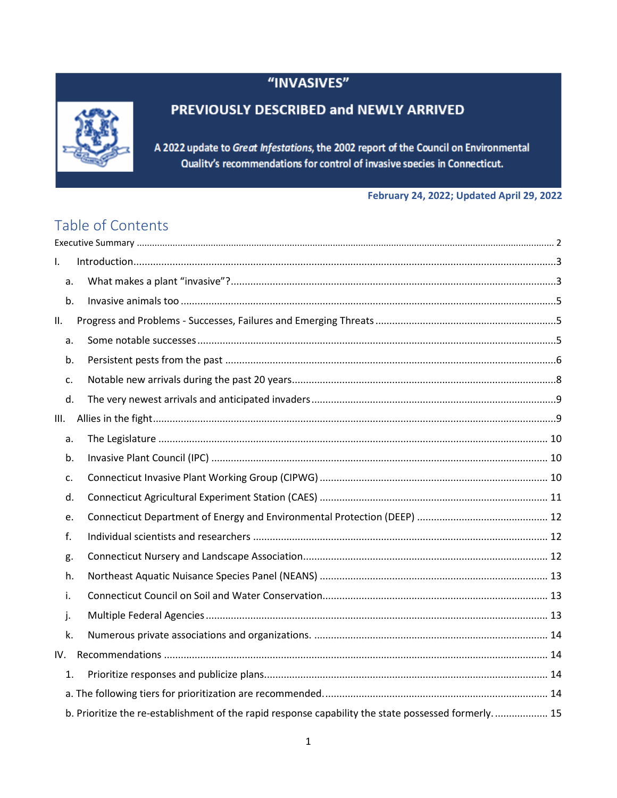## "INVASIVES"



## PREVIOUSLY DESCRIBED and NEWLY ARRIVED

A 2022 update to Great Infestations, the 2002 report of the Council on Environmental Quality's recommendations for control of invasive species in Connecticut.

February 24, 2022; Updated April 29, 2022

# Table of Contents

| I.  |                                                                                                       |  |
|-----|-------------------------------------------------------------------------------------------------------|--|
| a.  |                                                                                                       |  |
| b.  |                                                                                                       |  |
| П.  |                                                                                                       |  |
| a.  |                                                                                                       |  |
| b.  |                                                                                                       |  |
| c.  |                                                                                                       |  |
| d.  |                                                                                                       |  |
| Ш.  |                                                                                                       |  |
| a.  |                                                                                                       |  |
| b.  |                                                                                                       |  |
| c.  |                                                                                                       |  |
| d.  |                                                                                                       |  |
| e.  |                                                                                                       |  |
| f.  |                                                                                                       |  |
| g.  |                                                                                                       |  |
| h.  |                                                                                                       |  |
| i.  |                                                                                                       |  |
| j.  |                                                                                                       |  |
| k.  |                                                                                                       |  |
| IV. |                                                                                                       |  |
| 1.  |                                                                                                       |  |
|     |                                                                                                       |  |
|     | b. Prioritize the re-establishment of the rapid response capability the state possessed formerly.  15 |  |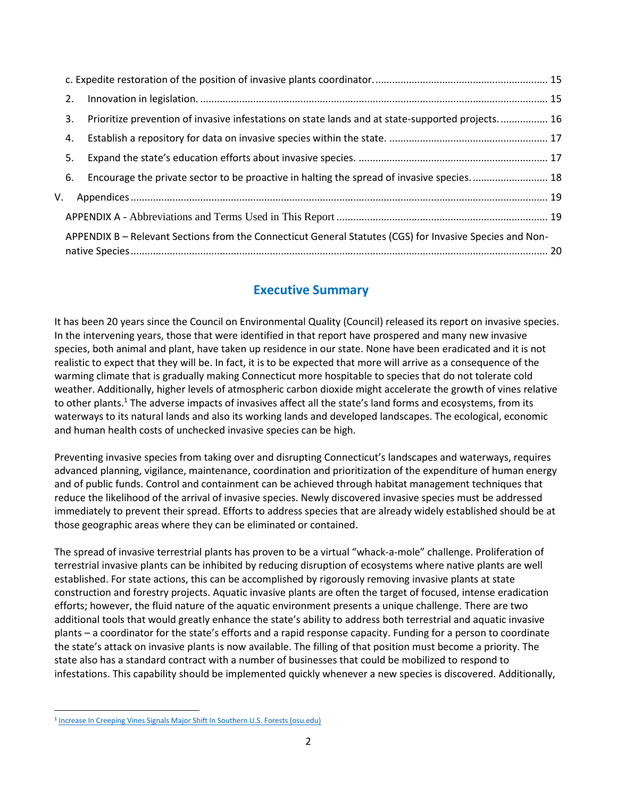|    | 2. |                                                                                                          |  |
|----|----|----------------------------------------------------------------------------------------------------------|--|
|    | 3. | Prioritize prevention of invasive infestations on state lands and at state-supported projects 16         |  |
|    | 4. |                                                                                                          |  |
|    | 5. |                                                                                                          |  |
|    | 6. | Encourage the private sector to be proactive in halting the spread of invasive species 18                |  |
| V. |    |                                                                                                          |  |
|    |    |                                                                                                          |  |
|    |    | APPENDIX B - Relevant Sections from the Connecticut General Statutes (CGS) for Invasive Species and Non- |  |
|    |    |                                                                                                          |  |

## **Executive Summary**

It has been 20 years since the Council on Environmental Quality (Council) released its report on invasive species. In the intervening years, those that were identified in that report have prospered and many new invasive species, both animal and plant, have taken up residence in our state. None have been eradicated and it is not realistic to expect that they will be. In fact, it is to be expected that more will arrive as a consequence of the warming climate that is gradually making Connecticut more hospitable to species that do not tolerate cold weather. Additionally, higher levels of atmospheric carbon dioxide might accelerate the growth of vines relative to other plants.<sup>1</sup> The adverse impacts of invasives affect all the state's land forms and ecosystems, from its waterways to its natural lands and also its working lands and developed landscapes. The ecological, economic and human health costs of unchecked invasive species can be high.

Preventing invasive species from taking over and disrupting Connecticut's landscapes and waterways, requires advanced planning, vigilance, maintenance, coordination and prioritization of the expenditure of human energy and of public funds. Control and containment can be achieved through habitat management techniques that reduce the likelihood of the arrival of invasive species. Newly discovered invasive species must be addressed immediately to prevent their spread. Efforts to address species that are already widely established should be at those geographic areas where they can be eliminated or contained.

The spread of invasive terrestrial plants has proven to be a virtual "whack-a-mole" challenge. Proliferation of terrestrial invasive plants can be inhibited by reducing disruption of ecosystems where native plants are well established. For state actions, this can be accomplished by rigorously removing invasive plants at state construction and forestry projects. Aquatic invasive plants are often the target of focused, intense eradication efforts; however, the fluid nature of the aquatic environment presents a unique challenge. There are two additional tools that would greatly enhance the state's ability to address both terrestrial and aquatic invasive plants – a coordinator for the state's efforts and a rapid response capacity. Funding for a person to coordinate the state's attack on invasive plants is now available. The filling of that position must become a priority. The state also has a standard contract with a number of businesses that could be mobilized to respond to infestations. This capability should be implemented quickly whenever a new species is discovered. Additionally,

<sup>&</sup>lt;sup>1</sup> [Increase In Creeping Vines Signals Major Shift In Southern U.S. Forests \(osu.edu\)](https://news.osu.edu/increase-in-creeping-vines-signals-major-shift-in-southern-us-forests/)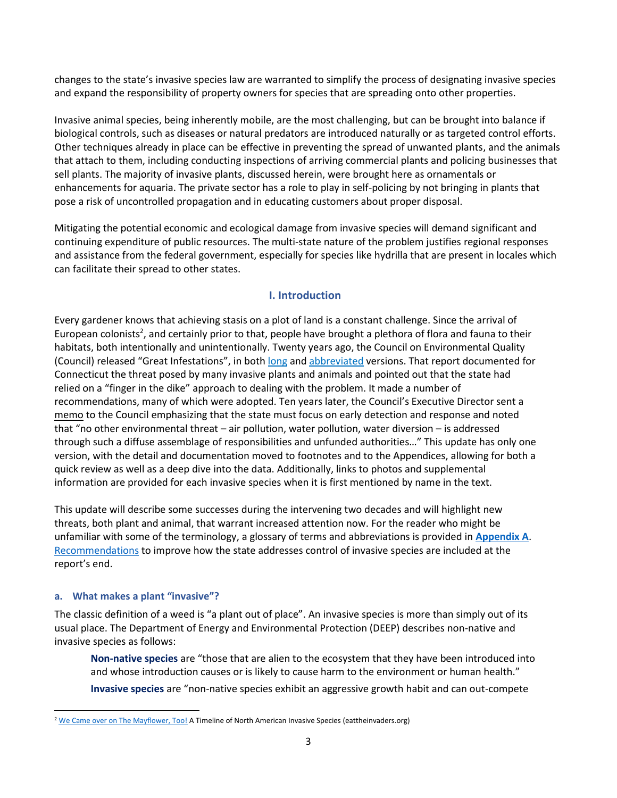changes to the state's invasive species law are warranted to simplify the process of designating invasive species and expand the responsibility of property owners for species that are spreading onto other properties.

Invasive animal species, being inherently mobile, are the most challenging, but can be brought into balance if biological controls, such as diseases or natural predators are introduced naturally or as targeted control efforts. Other techniques already in place can be effective in preventing the spread of unwanted plants, and the animals that attach to them, including conducting inspections of arriving commercial plants and policing businesses that sell plants. The majority of invasive plants, discussed herein, were brought here as ornamentals or enhancements for aquaria. The private sector has a role to play in self-policing by not bringing in plants that pose a risk of uncontrolled propagation and in educating customers about proper disposal.

Mitigating the potential economic and ecological damage from invasive species will demand significant and continuing expenditure of public resources. The multi-state nature of the problem justifies regional responses and assistance from the federal government, especially for species like hydrilla that are present in locales which can facilitate their spread to other states.

## <span id="page-2-0"></span>**I. Introduction**

Every gardener knows that achieving stasis on a plot of land is a constant challenge. Since the arrival of European colonists<sup>2</sup>, and certainly prior to that, people have brought a plethora of flora and fauna to their habitats, both intentionally and unintentionally. Twenty years ago, the Council on Environmental Quality (Council) released "[Great Infestations](https://portal.ct.gov/-/media/CEQ/20/7/invasiveslongpdf.pdf)", in both [long](https://portal.ct.gov/-/media/CEQ/20/7/invasiveslongpdf.pdf) and [abbreviated](https://portal.ct.gov/-/media/CEQ/20/7/greatinfestationspdf.pdf) versions. That report documented for Connecticut the threat posed by many invasive plants and animals and pointed out that the state had relied on a "finger in the dike" approach to dealing with the problem. It made a number of recommendations, many of which were adopted. Ten years later, the Council's Executive Director sent a [memo](https://portal.ct.gov/-/media/CEQ/2012EvaluationofProgresson2002InvasiveSpeciesRecommendationspdf.pdf) to the Council emphasizing that the state must focus on early detection and response and noted that "no other environmental threat – air pollution, water pollution, water diversion – is addressed through such a diffuse assemblage of responsibilities and unfunded authorities…" This update has only one version, with the detail and documentation moved to footnotes and to the Appendices, allowing for both a quick review as well as a deep dive into the data. Additionally, links to photos and supplemental information are provided for each invasive species when it is first mentioned by name in the text.

This update will describe some successes during the intervening two decades and will highlight new threats, both plant and animal, that warrant increased attention now. For the reader who might be unfamiliar with some of the terminology, a glossary of terms and abbreviations is provided in **[Appendix A](#page-18-1)**. [Recommendations](#page-13-4) to improve how the state addresses control of invasive species are included at the report's end.

### <span id="page-2-1"></span>**a. What makes a plant "invasive"?**

The classic definition of a weed is "a plant out of place". An invasive species is more than simply out of its usual place. The Department of Energy and Environmental Protection (DEEP) describes non-native and invasive species as follows:

**Non-native species** are "those that are alien to the ecosystem that they have been introduced into and whose introduction causes or is likely to cause harm to the environment or human health." **Invasive species** are "non-native species exhibit an aggressive growth habit and can out-compete

<sup>&</sup>lt;sup>2</sup> [We Came over on The Mayflower, Too!](http://eattheinvaders.org/we-came-over-on-the-mayflower-too/#:~:text=For%20more%20on%20dandelions%2C%20click,with%20the%20first%20European%20settlers.) A Timeline of North American Invasive Species (eattheinvaders.org)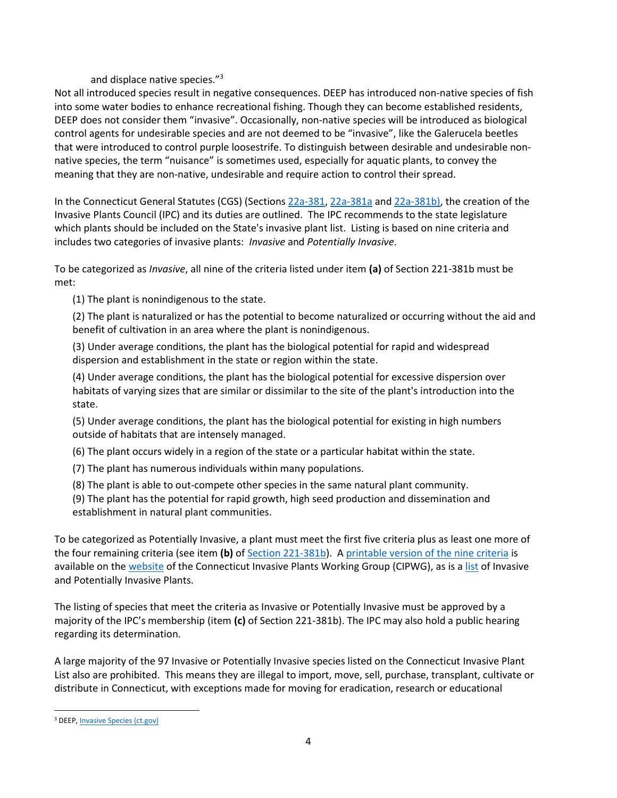and displace native species."<sup>3</sup>

Not all introduced species result in negative consequences. DEEP has introduced non-native species of fish into some water bodies to enhance recreational fishing. Though they can become established residents, DEEP does not consider them "invasive". Occasionally, non-native species will be introduced as biological control agents for undesirable species and are not deemed to be "invasive", like the Galerucela beetles that were introduced to control purple loosestrife. To distinguish between desirable and undesirable nonnative species, the term "nuisance" is sometimes used, especially for aquatic plants, to convey the meaning that they are non-native, undesirable and require action to control their spread.

In the Connecticut General Statutes (CGS) (Sections [22a-381,](https://www.cga.ct.gov/current/pub/chap_446i.htm#sec_22a-381) [22a-381a](https://www.cga.ct.gov/current/pub/chap_446i.htm#sec_22a-381a) an[d 22a-381b\)](https://www.cga.ct.gov/current/pub/chap_446i.htm#sec_22a-381b), the creation of the Invasive Plants Council (IPC) and its duties are outlined. The IPC recommends to the state legislature which plants should be included on the State's invasive plant list. Listing is based on nine criteria and includes two categories of invasive plants: *Invasive* and *Potentially Invasive*.

To be categorized as *Invasive*, all nine of the criteria listed under item **(a)** of Section 221-381b must be met:

(1) The plant is nonindigenous to the state.

(2) The plant is naturalized or has the potential to become naturalized or occurring without the aid and benefit of cultivation in an area where the plant is nonindigenous.

(3) Under average conditions, the plant has the biological potential for rapid and widespread dispersion and establishment in the state or region within the state.

(4) Under average conditions, the plant has the biological potential for excessive dispersion over habitats of varying sizes that are similar or dissimilar to the site of the plant's introduction into the state.

(5) Under average conditions, the plant has the biological potential for existing in high numbers outside of habitats that are intensely managed.

(6) The plant occurs widely in a region of the state or a particular habitat within the state.

(7) The plant has numerous individuals within many populations.

(8) The plant is able to out-compete other species in the same natural plant community.

(9) The plant has the potential for rapid growth, high seed production and dissemination and establishment in natural plant communities.

To be categorized as Potentially Invasive, a plant must meet the first five criteria plus as least one more of the four remaining criteria (see item **(b)** o[f Section 221-381b\)](https://www.cga.ct.gov/current/pub/chap_446i.htm#sec_22a-381b). A printable version [of the nine criteria](https://production.wordpress.uconn.edu/cipwg/wp-content/uploads/sites/244/2014/03/Invasive-Plant-9-Criteria-handout-2014.pdf) is available on th[e website](https://cipwg.uconn.edu/about/) of the Connecticut Invasive Plants Working Group (CIPWG), as is a [list](https://cipwg.uconn.edu/invasive_plant_list/) of Invasive and Potentially Invasive Plants.

The listing of species that meet the criteria as Invasive or Potentially Invasive must be approved by a majority of the IPC's membership (item **(c)** of Section 221-381b). The IPC may also hold a public hearing regarding its determination.

A large majority of the 97 Invasive or Potentially Invasive species listed on the Connecticut Invasive Plant List also are prohibited. This means they are illegal to import, move, sell, purchase, transplant, cultivate or distribute in Connecticut, with exceptions made for moving for eradication, research or educational

<sup>3</sup> DEEP, **Invasive Species** (ct.gov)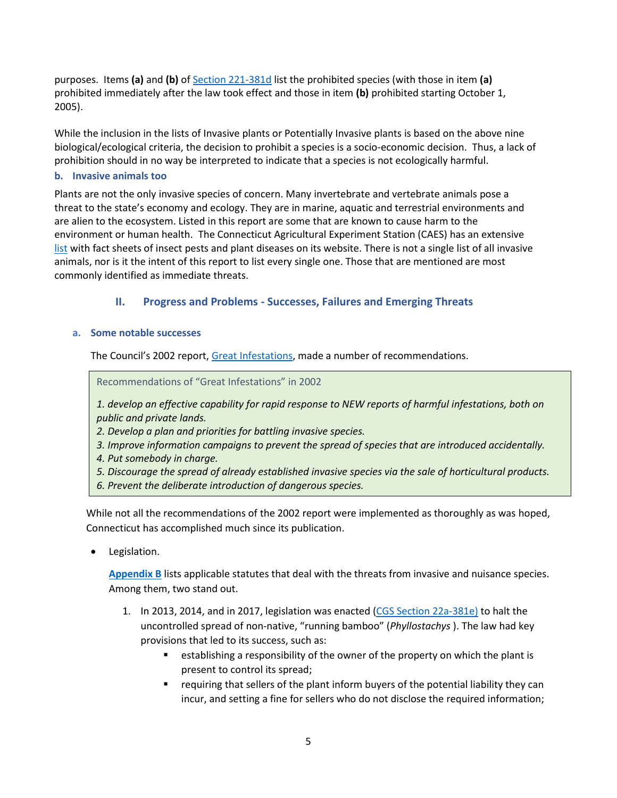purposes. Items **(a)** and **(b)** o[f Section 221-381d](https://www.cga.ct.gov/current/pub/chap_446i.htm#sec_22a-381d) list the prohibited species (with those in item **(a)** prohibited immediately after the law took effect and those in item **(b)** prohibited starting October 1, 2005).

While the inclusion in the lists of Invasive plants or Potentially Invasive plants is based on the above nine biological/ecological criteria, the decision to prohibit a species is a socio-economic decision. Thus, a lack of prohibition should in no way be interpreted to indicate that a species is not ecologically harmful.

## <span id="page-4-0"></span>**b. Invasive animals too**

Plants are not the only invasive species of concern. Many invertebrate and vertebrate animals pose a threat to the state's economy and ecology. They are in marine, aquatic and terrestrial environments and are alien to the ecosystem. Listed in this report are some that are known to cause harm to the environment or human health. The Connecticut Agricultural Experiment Station (CAES) has an extensive [list](https://portal.ct.gov/CAES/Publications/Publications/Listing-of-all-Available-Insect-Pest-Plant-and-Miscellaneous-Fact-Sheets) with fact sheets of insect pests and plant diseases on its website. There is not a single list of all invasive animals, nor is it the intent of this report to list every single one. Those that are mentioned are most commonly identified as immediate threats.

## **II. Progress and Problems - Successes, Failures and Emerging Threats**

## <span id="page-4-2"></span><span id="page-4-1"></span>**a. Some notable successes**

The Council's 2002 report, [Great Infestations,](https://portal.ct.gov/-/media/CEQ/20/7/invasiveslongpdf.pdf) made a number of recommendations.

Recommendations of "Great Infestations" in 2002

*1. develop an effective capability for rapid response to NEW reports of harmful infestations, both on public and private lands.*

- *2. Develop a plan and priorities for battling invasive species.*
- *3. Improve information campaigns to prevent the spread of species that are introduced accidentally.*
- *4. Put somebody in charge.*
- *5. Discourage the spread of already established invasive species via the sale of horticultural products.*

*6. Prevent the deliberate introduction of dangerous species.*

While not all the recommendations of the 2002 report were implemented as thoroughly as was hoped, Connecticut has accomplished much since its publication.

• Legislation.

**[Appendix B](#page-19-0)** lists applicable statutes that deal with the threats from invasive and nuisance species. Among them, two stand out.

- 1. In 2013, 2014, and in 2017, legislation was enacted (CGS [Section 22a-381e\)](https://www.cga.ct.gov/current/pub/chap_446i.htm#sec_22a-381e) to halt the uncontrolled spread of non-native, "running bamboo" (*Phyllostachys* ). The law had key provisions that led to its success, such as:
	- establishing a responsibility of the owner of the property on which the plant is present to control its spread;
	- requiring that sellers of the plant inform buyers of the potential liability they can incur, and setting a fine for sellers who do not disclose the required information;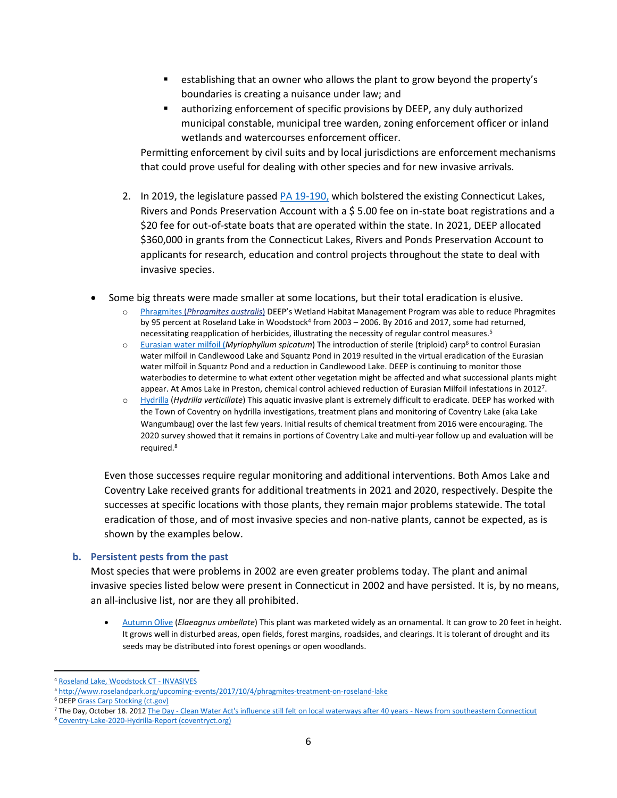- establishing that an owner who allows the plant to grow beyond the property's boundaries is creating a nuisance under law; and
- authorizing enforcement of specific provisions by DEEP, any duly authorized municipal constable, municipal tree warden, zoning enforcement officer or inland wetlands and watercourses enforcement officer.

Permitting enforcement by civil suits and by local jurisdictions are enforcement mechanisms that could prove useful for dealing with other species and for new invasive arrivals.

- 2. In 2019, the legislature passed [PA 19-190,](https://www.cga.ct.gov/2019/act/pa/pdf/2019PA-00190-R00HB-06637-PA.pdf) which bolstered the existing Connecticut Lakes, Rivers and Ponds Preservation Account with a \$ 5.00 fee on in-state boat registrations and a \$20 fee for out-of-state boats that are operated within the state. In 2021, DEEP allocated \$360,000 in grants from the Connecticut Lakes, Rivers and Ponds Preservation Account to applicants for research, education and control projects throughout the state to deal with invasive species.
- Some big threats were made smaller at some locations, but their total eradication is elusive.
	- o [Phragmites](https://www.invasivespeciesinfo.gov/aquatic/plants/common-reed) (*Phragmites australis*) DEEP's Wetland Habitat Management Program was able to reduce Phragmites by 95 percent at Roseland Lake in Woodstock<sup>4</sup> from 2003 – 2006. By 2016 and 2017, some had returned, necessitating reapplication of herbicides, illustrating the necessity of regular control measures. 5
	- o [Eurasian water milfoil](https://www.invasivespeciesinfo.gov/aquatic/plants/eurasian-watermilfoil) (*Myriophyllum spicatum*) The introduction of sterile (triploid) carp<sup>6</sup> to control Eurasian water milfoil in Candlewood Lake and Squantz Pond in 2019 resulted in the virtual eradication of the Eurasian water milfoil in Squantz Pond and a reduction in Candlewood Lake. DEEP is continuing to monitor those waterbodies to determine to what extent other vegetation might be affected and what successional plants might appear. At Amos Lake in Preston, chemical control achieved reduction of Eurasian Milfoil infestations in 2012<sup>7</sup> .
	- o [Hydrilla](https://www.invasivespeciesinfo.gov/aquatic/plants/hydrilla) (*Hydrilla verticillate*) This aquatic invasive plant is extremely difficult to eradicate. DEEP has worked with the Town of Coventry on hydrilla investigations, treatment plans and monitoring of Coventry Lake (aka Lake Wangumbaug) over the last few years. Initial results of chemical treatment from 2016 were encouraging. The 2020 survey showed that it remains in portions of Coventry Lake and multi-year follow up and evaluation will be required.<sup>8</sup>

Even those successes require regular monitoring and additional interventions. Both Amos Lake and Coventry Lake received grants for additional treatments in 2021 and 2020, respectively. Despite the successes at specific locations with those plants, they remain major problems statewide. The total eradication of those, and of most invasive species and non-native plants, cannot be expected, as is shown by the examples below.

## <span id="page-5-0"></span>**b. Persistent pests from the past**

Most species that were problems in 2002 are even greater problems today. The plant and animal invasive species listed below were present in Connecticut in 2002 and have persisted. It is, by no means, an all-inclusive list, nor are they all prohibited.

• [Autumn Olive](https://www.invasivespeciesinfo.gov/terrestrial/plants/autumn-olive) (*Elaeagnus umbellate*) This plant was marketed widely as an ornamental. It can grow to 20 feet in height. It grows well in disturbed areas, open fields, forest margins, roadsides, and clearings. It is tolerant of drought and its seeds may be distributed into forest openings or open woodlands.

<sup>4</sup> [Roseland Lake, Woodstock CT -](http://www.roselandlake.org/invasives.htm) INVASIVES

<sup>5</sup> <http://www.roselandpark.org/upcoming-events/2017/10/4/phragmites-treatment-on-roseland-lake>

<sup>6</sup> DEE[P Grass Carp Stocking \(ct.gov\)](https://portal.ct.gov/DEEP/Fishing/General-Information/Grass-Carp-Stocking)

<sup>&</sup>lt;sup>7</sup> The Day, October 18. 2012 The Day - [Clean Water Act's influence still felt on local waterways after 40 years -](https://www.theday.com/article/20121018/NWS01/310189489) News from southeastern Connecticut

<sup>8</sup> [Coventry-Lake-2020-Hydrilla-Report \(coventryct.org\)](https://www.coventryct.org/DocumentCenter/View/4998/Coventry-Lake-2020-Hydrilla-Report)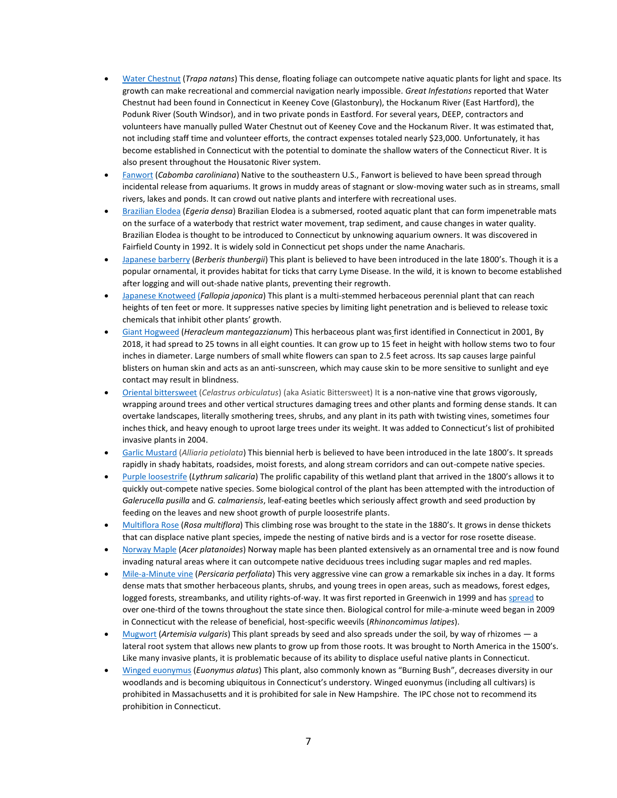- [Water Chestnut](https://www.invasivespeciesinfo.gov/aquatic/plants/water-chestnut) (*Trapa natans*) This dense, floating foliage can outcompete native aquatic plants for light and space. Its growth can make recreational and commercial navigation nearly impossible. *Great Infestations* reported that Water Chestnut had been found in Connecticut in Keeney Cove (Glastonbury), the Hockanum River (East Hartford), the Podunk River (South Windsor), and in two private ponds in Eastford. For several years, DEEP, contractors and volunteers have manually pulled Water Chestnut out of Keeney Cove and the Hockanum River. It was estimated that, not including staff time and volunteer efforts, the contract expenses totaled nearly \$23,000. Unfortunately, it has become established in Connecticut with the potential to dominate the shallow waters of the Connecticut River. It is also present throughout the Housatonic River system.
- [Fanwort](https://www.nrcs.usda.gov/wps/portal/nrcs/detail/ct/technical/ecoscience/?cid=nrcs142p2_011093) (*Cabomba caroliniana*) Native to the southeastern U.S., Fanwort is believed to have been spread through incidental release from aquariums. It grows in muddy areas of stagnant or slow-moving water such as in streams, small rivers, lakes and ponds. It can crowd out native plants and interfere with recreational uses.
- [Brazilian Elodea](https://www.invasivespeciesinfo.gov/aquatic/plants/brazilian-waterweed) (*Egeria densa*) Brazilian Elodea is a submersed, rooted aquatic plant that can form impenetrable mats on the surface of a waterbody that restrict water movement, trap sediment, and cause changes in water quality. Brazilian Elodea is thought to be introduced to Connecticut by unknowing aquarium owners. It was discovered in Fairfield County in 1992. It is widely sold in Connecticut pet shops under the name Anacharis.
- [Japanese barberry](https://www.invasivespeciesinfo.gov/terrestrial/plants/japanese-barberry) (*Berberis thunbergii*) This plant is believed to have been introduced in the late 1800's. Though it is a popular ornamental, it provides habitat for ticks that carry Lyme Disease. In the wild, it is known to become established after logging and will out-shade native plants, preventing their regrowth.
- [Japanese Knotweed](https://www.invasivespeciesinfo.gov/terrestrial/plants/japanese-knotweed) (*Fallopia japonica*) This plant is a multi-stemmed herbaceous perennial plant that can reach heights of ten feet or more. It suppresses native species by limiting light penetration and is believed to release toxic chemicals that inhibit other plants' growth.
- [Giant Hogweed](https://www.invasivespeciesinfo.gov/terrestrial/plants/giant-hogweed) (*Heracleum mantegazzianum*) This herbaceous plant was first identified in Connecticut in 2001, By 2018, it had spread to 25 towns in all eight counties. It can grow up to 15 feet in height with hollow stems two to four inches in diameter. Large numbers of small white flowers can span to 2.5 feet across. Its sap causes large painful blisters on human skin and acts as an anti-sunscreen, which may cause skin to be more sensitive to sunlight and eye contact may result in blindness.
- [Oriental bittersweet](https://cipwg.uconn.edu/2013/12/08/oriental-bittersweet/) (*Celastrus orbiculatus*) (aka Asiatic Bittersweet) It is a non-native vine that grows vigorously, wrapping around trees and other vertical structures damaging trees and other plants and forming dense stands. It can overtake landscapes, literally smothering trees, shrubs, and any plant in its path with twisting vines, sometimes four inches thick, and heavy enough to uproot large trees under its weight. It was added to Connecticut's list of prohibited invasive plants in 2004.
- [Garlic Mustard](https://www.invasivespeciesinfo.gov/terrestrial/plants/garlic-mustard) (*Alliaria petiolata*) This biennial herb is believed to have been introduced in the late 1800's. It spreads rapidly in shady habitats, roadsides, moist forests, and along stream corridors and can out-compete native species.
- [Purple loosestrife](https://www.invasivespeciesinfo.gov/aquatic/plants/purple-loosestrife) (*Lythrum salicaria*) The prolific capability of this wetland plant that arrived in the 1800's allows it to quickly out-compete native species. Some biological control of the plant has been attempted with the introduction of *Galerucella pusilla* and *G. calmariensis*, leaf-eating beetles which seriously affect growth and seed production by feeding on the leaves and new shoot growth of purple loosestrife plants.
- [Multiflora Rose](https://www.invasivespeciesinfo.gov/terrestrial/plants/multiflora-rose) (*Rosa multiflora*) This climbing rose was brought to the state in the 1880's. It grows in dense thickets that can displace native plant species, impede the nesting of native birds and is a vector for rose rosette disease.
- [Norway Maple](https://www.nrcs.usda.gov/wps/portal/nrcs/detail/ct/technical/ecoscience/invasive/?cid=nrcs142p2_011121) (*Acer platanoides*) Norway maple has been planted extensively as an ornamental tree and is now found invading natural areas where it can outcompete native deciduous trees including sugar maples and red maples.
- [Mile-a-Minute vine](https://www.invasivespeciesinfo.gov/terrestrial/plants/mile-minute-weed) (*Persicaria perfoliata*) This very aggressive vine can grow a remarkable six inches in a day. It forms dense mats that smother herbaceous plants, shrubs, and young trees in open areas, such as meadows, forest edges, logged forests, streambanks, and utility rights-of-way. It was first reported in Greenwich in 1999 and has [spread](https://mam.uconn.edu/distribution/) to over one-third of the towns throughout the state since then. Biological control for mile-a-minute weed began in 2009 in Connecticut with the release of beneficial, host-specific weevils (*Rhinoncomimus latipes*).
- [Mugwort](https://cipwg.uconn.edu/wp-content/uploads/sites/244/2016/10/Mugwort-Poster-10-10-16-36x48Landscaperevised.pdf) (*Artemisia vulgaris*) This plant spreads by seed and also spreads under the soil, by way of rhizomes a lateral root system that allows new plants to grow up from those roots. It was brought to North America in the 1500's. Like many invasive plants, it is problematic because of its ability to displace useful native plants in Connecticut.
- [Winged euonymus](https://cipwg.uconn.edu/wp-content/uploads/sites/244/2013/10/Winged-Euonymus-nrcs142p2_2015-0820x.pdf) (*Euonymus alatus*) This plant, also commonly known as "Burning Bush", decreases diversity in our woodlands and is becoming ubiquitous in Connecticut's understory. Winged euonymus (including all cultivars) is prohibited in Massachusetts and it is prohibited for sale in New Hampshire. The IPC chose not to recommend its prohibition in Connecticut.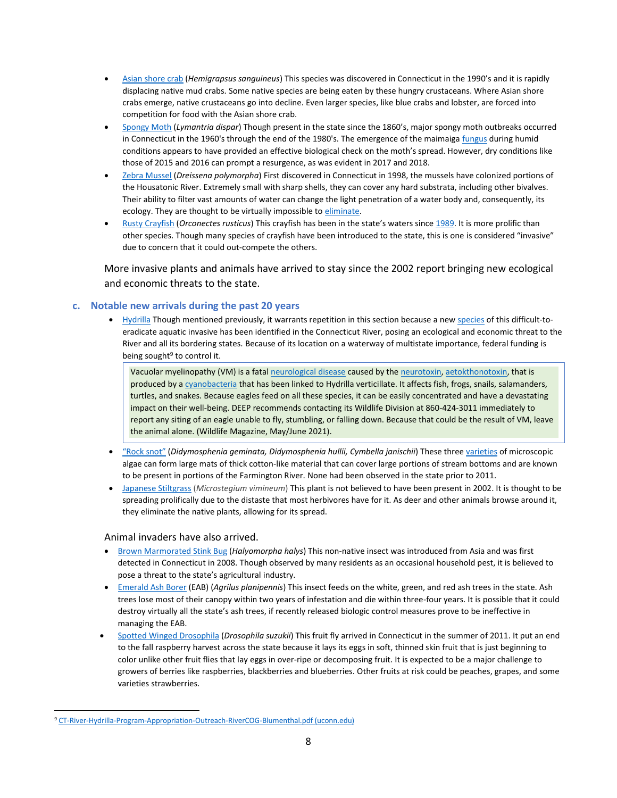- [Asian shore crab](https://www.invasivespeciesinfo.gov/aquatic/invertebrates/asian-shore-crab) (*Hemigrapsus sanguineus*) This species was discovered in Connecticut in the 1990's and it is rapidly displacing native mud crabs. Some native species are being eaten by these hungry crustaceans. Where Asian shore crabs emerge, native crustaceans go into decline. Even larger species, like blue crabs and lobster, are forced into competition for food with the Asian shore crab.
- [Spongy Moth](https://www.invasivespeciesinfo.gov/terrestrial/invertebrates/european-gypsy-moth) (*Lymantria dispar*) Though present in the state since the 1860's, major spongy moth outbreaks occurred in Connecticut in the 1960's through the end of the 1980's. The emergence of the maimaig[a fungus](https://biocontrol.entomology.cornell.edu/pathogens/entomophagamaimaiga.php) during humid conditions appears to have provided an effective biological check on the moth's spread. However, dry conditions like those of 2015 and 2016 can prompt a resurgence, as was evident in 2017 and 2018.
- [Zebra Mussel](https://www.invasivespeciesinfo.gov/aquatic/invertebrates/zebra-mussel) (*Dreissena polymorpha*) First discovered in Connecticut in 1998, the mussels have colonized portions of the Housatonic River. Extremely small with sharp shells, they can cover any hard substrata, including other bivalves. Their ability to filter vast amounts of water can change the light penetration of a water body and, consequently, its ecology. They are thought to be virtually impossible t[o eliminate.](https://www.cga.ct.gov/2011/rpt/2011-R-0013.htm)
- [Rusty Crayfish](https://www.invasivespeciesinfo.gov/aquatic/invertebrates/rusty-crayfish) (*Orconectes rusticus*) This crayfish has been in the state's waters since [1989.](https://www.google.com/search?q=when+did+rusty+crayfish+appear+in+ct&oq=when+did+rusty+crayfish+appear+in+ct&aqs=edge..69i57.17356j0j3&sourceid=chrome&ie=UTF-8) It is more prolific than other species. Though many species of crayfish have been introduced to the state, this is one is considered "invasive" due to concern that it could out-compete the others.

More invasive plants and animals have arrived to stay since the 2002 report bringing new ecological and economic threats to the state.

## <span id="page-7-0"></span>**c. Notable new arrivals during the past 20 years**

• [Hydrilla](https://www.invasivespeciesinfo.gov/aquatic/plants/hydrilla) Though mentioned previously, it warrants repetition in this section because a ne[w species](https://www.rivercog.org/wp-content/uploads/2020/11/CAES-Press-Release-The-CAES-Invasive-Aquatic-Week-Program-Discovers-5-28-2020.pdf) of this difficult-toeradicate aquatic invasive has been identified in the Connecticut River, posing an ecological and economic threat to the River and all its bordering states. Because of its location on a waterway of multistate importance, federal funding is being sought<sup>9</sup> to control it.

Vacuolar myelinopathy (VM) is a fatal [neurological disease](https://en.wikipedia.org/wiki/Neurological_disorder) caused by the [neurotoxin,](https://en.wikipedia.org/wiki/Neurotoxin) [aetokthonotoxin,](https://www.asbmb.org/asbmb-today/science/090421/there-s-something-in-the-water-and-it-s-killing-am) that is produced by a [cyanobacteria](https://www.cdc.gov/habs/pdf/cyanobacteria_faq.pdf) that has been linked to Hydrilla verticillate. It affects fish, frogs, snails, salamanders, turtles, and snakes. Because eagles feed on all these species, it can be easily concentrated and have a devastating impact on their well-being. DEEP recommends contacting its Wildlife Division at 860-424-3011 immediately to report any siting of an eagle unable to fly, stumbling, or falling down. Because that could be the result of VM, leave the animal alone. (Wildlife Magazine, May/June 2021).

- "[Rock snot](https://www.invasivespeciesinfo.gov/aquatic/plants/didymo)" (*Didymosphenia geminata, Didymosphenia hullii, Cymbella janischii*) These thre[e varieties](https://portal.ct.gov/-/media/DEEP/fishing/invasive_plants/DidymoBrochure2017pdf.pdf) of microscopic algae can form large mats of thick cotton-like material that can cover large portions of stream bottoms and are known to be present in portions of the Farmington River. None had been observed in the state prior to 2011.
- [Japanese Stiltgrass](https://www.invasivespeciesinfo.gov/terrestrial/plants/japanese-stiltgrass) (*Microstegium vimineum*) This plant is not believed to have been present in 2002. It is thought to be spreading prolifically due to the distaste that most herbivores have for it. As deer and other animals browse around it, they eliminate the native plants, allowing for its spread.

### Animal invaders have also arrived.

- [Brown Marmorated Stink Bug](https://www.invasivespeciesinfo.gov/terrestrial/invertebrates/brown-marmorated-stink-bug) (*Halyomorpha halys*) This non-native insect was introduced from Asia and was first detected in Connecticut in 2008. Though observed by many residents as an occasional household pest, it is believed to pose a threat to the state's agricultural industry.
- [Emerald Ash Borer](https://www.invasivespeciesinfo.gov/terrestrial/invertebrates/emerald-ash-borer) (EAB) (*Agrilus planipennis*) This insect feeds on the white, green, and red ash trees in the state. Ash trees lose most of their canopy within two years of infestation and die within three-four years. It is possible that it could destroy virtually all the state's ash trees, if recently released biologic control measures prove to be ineffective in managing the EAB.
- [Spotted Winged Drosophila](https://portal.ct.gov/-/media/CAES/DOCUMENTS/CAPS/2012/factsheetSPOTTEDWINGDROSOPHILApdf.pdf) (*Drosophila suzukii*) This fruit fly arrived in Connecticut in the summer of 2011. It put an end to the fall raspberry harvest across the state because it lays its eggs in soft, thinned skin fruit that is just beginning to color unlike other fruit flies that lay eggs in over-ripe or decomposing fruit. It is expected to be a major challenge to growers of berries like raspberries, blackberries and blueberries. Other fruits at risk could be peaches, grapes, and some varieties strawberries.

<sup>9</sup> [CT-River-Hydrilla-Program-Appropriation-Outreach-RiverCOG-Blumenthal.pdf \(uconn.edu\)](https://seagrant.uconn.edu/wp-content/uploads/sites/1985/2021/06/CT-River-Hydrilla-Program-Appropriation-Outreach-RiverCOG-Blumenthal.pdf)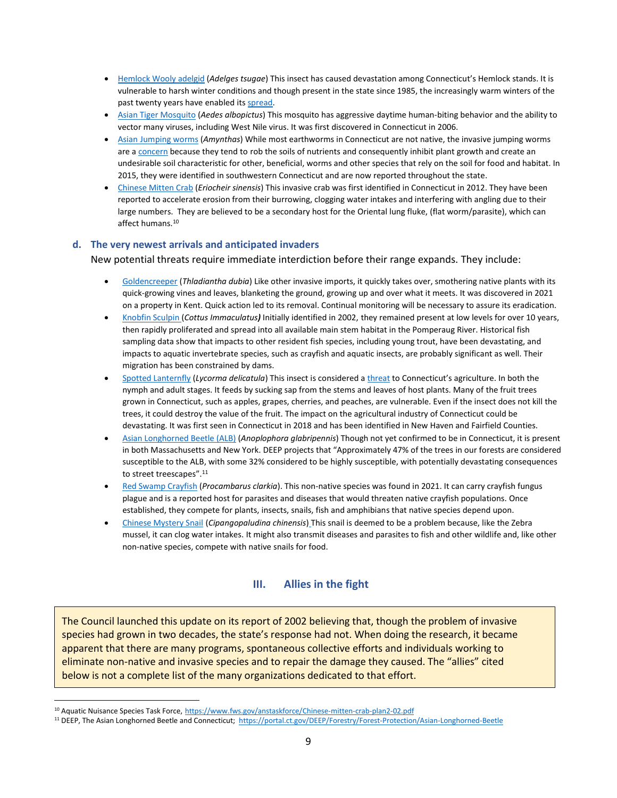- [Hemlock Wooly adelgid](https://www.invasivespeciesinfo.gov/terrestrial/invertebrates/hemlock-woolly-adelgid) (*Adelges tsugae*) This insect has caused devastation among Connecticut's Hemlock stands. It is vulnerable to harsh winter conditions and though present in the state since 1985, the increasingly warm winters of the past twenty years have enabled its [spread.](https://portal.ct.gov/-/media/CAES/DOCUMENTS/Publications/Fact_Sheets/Plant_Pathology_and_Ecology/HemlockWoollyAdelgidWinterMortality71216pdf.pdf?la=en&hash=22B52FCE0780E0CE61C29E687581F365)
- [Asian Tiger Mosquito](https://www.invasivespeciesinfo.gov/terrestrial/invertebrates/asian-tiger-mosquito) (*Aedes albopictus*) This mosquito has aggressive daytime human-biting behavior and the ability to vector many viruses, including West Nile virus. It was first discovered in Connecticut in 2006.
- Asian [Jumping worms](https://www.invasivespeciesinfo.gov/terrestrial/invertebrates/asian-jumping-worm) (*Amynthas*) While most earthworms in Connecticut are not native, the invasive jumping worms are [a concern](https://www.conngardener.com/jumping-worm-update/) because they tend to rob the soils of nutrients and consequently inhibit plant growth and create an undesirable soil characteristic for other, beneficial, worms and other species that rely on the soil for food and habitat. In 2015, they were identified in southwestern Connecticut and are now reported throughout the state.
- [Chinese Mitten Crab](https://www.invasivespeciesinfo.gov/aquatic/invertebrates/chinese-mitten-crab) (*Eriocheir sinensis*) This invasive crab was first identified in Connecticut in 2012. They have been reported to accelerate erosion from their burrowing, clogging water intakes and interfering with angling due to their large numbers. They are believed to be a secondary host for the Oriental lung fluke, (flat worm/parasite), which can affect humans.<sup>10</sup>

## <span id="page-8-0"></span>**d. The very newest arrivals and anticipated invaders**

New potential threats require immediate interdiction before their range expands. They include:

- [Goldencreeper](https://portal.ct.gov/-/media/CAES/DOCUMENTS/Publications/Press_Releases/2021/CAES-Press-Release-Goldencreeper-10-29-21.pdf) (*Thladiantha dubia*) Like other invasive imports, it quickly takes over, smothering native plants with its quick-growing vines and leaves, blanketing the ground, growing up and over what it meets. It was discovered in 2021 on a property in Kent. Quick action led to its removal. Continual monitoring will be necessary to assure its eradication.
- [Knobfin Sculpin](https://portal.ct.gov/DEEP/Fishing/Freshwater/Freshwater-Fishes-of-Connecticut/Knobfin-Sculpin) (*Cottus Immaculatus)* Initially identified in 2002, they remained present at low levels for over 10 years, then rapidly proliferated and spread into all available main stem habitat in the Pomperaug River. Historical fish sampling data show that impacts to other resident fish species, including young trout, have been devastating, and impacts to aquatic invertebrate species, such as crayfish and aquatic insects, are probably significant as well. Their migration has been constrained by dams.
- [Spotted Lanternfly](https://www.invasivespeciesinfo.gov/terrestrial/invertebrates/spotted-lanternfly) (*Lycorma delicatula*) This insect is considered [a threat](https://portal.ct.gov/CAES/CAPS/CAPS/Spotted-Lanternfly---SLF.) to Connecticut's agriculture. In both the nymph and adult stages. It feeds by sucking sap from the stems and leaves of host plants. Many of the fruit trees grown in Connecticut, such as apples, grapes, cherries, and peaches, are vulnerable. Even if the insect does not kill the trees, it could destroy the value of the fruit. The impact on the agricultural industry of Connecticut could be devastating. It was first seen in Connecticut in 2018 and has been identified in New Haven and Fairfield Counties.
- [Asian Longhorned Beetle](https://www.invasivespeciesinfo.gov/terrestrial/invertebrates/asian-long-horned-beetle) (ALB) (*Anoplophora glabripennis*) Though not yet confirmed to be in Connecticut, it is present in both Massachusetts and New York. DEEP projects that "Approximately 47% of the trees in our forests are considered susceptible to the ALB, with some 32% considered to be highly susceptible, with potentially devastating consequences to street treescapes". 11
- [Red Swamp Crayfish](https://www.oldlyme-ct.gov/home/news/invasive-red-swamp-crayfish) (*Procambarus clarkia*). This non-native species was found in 2021. It can carry crayfish fungus plague and is a reported host for parasites and diseases that would threaten native crayfish populations. Once established, they compete for plants, insects, snails, fish and amphibians that native species depend upon.
- Chinese Mystery Snail (*[Cipangopaludina chinensis](https://www.fws.gov/fisheries/ans/erss/highrisk/ERSS-Cipangopaludina-chinensis-FINAL-March2018.pdf)*) This snail is deemed to be a problem because, like the Zebra mussel, it can clog water intakes. It might also transmit diseases and parasites to fish and other wildlife and, like other non-native species, compete with native snails for food.

## **III. Allies in the fight**

<span id="page-8-1"></span>The Council launched this update on its report of 2002 believing that, though the problem of invasive species had grown in two decades, the state's response had not. When doing the research, it became apparent that there are many programs, spontaneous collective efforts and individuals working to eliminate non-native and invasive species and to repair the damage they caused. The "allies" cited below is not a complete list of the many organizations dedicated to that effort.

<sup>&</sup>lt;sup>10</sup> Aquatic Nuisance Species Task Force, <https://www.fws.gov/anstaskforce/Chinese-mitten-crab-plan2-02.pdf>

<sup>11</sup> DEEP, The Asian Longhorned Beetle and Connecticut;<https://portal.ct.gov/DEEP/Forestry/Forest-Protection/Asian-Longhorned-Beetle>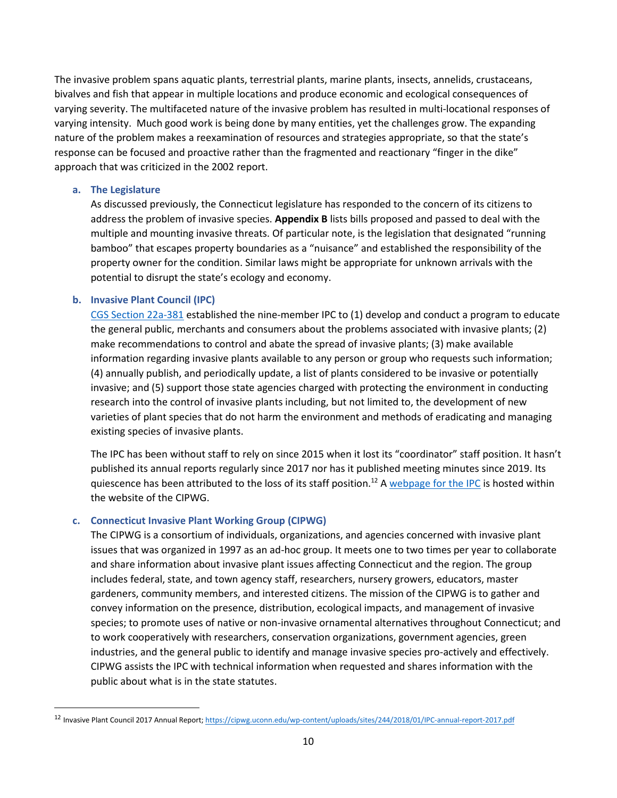The invasive problem spans aquatic plants, terrestrial plants, marine plants, insects, annelids, crustaceans, bivalves and fish that appear in multiple locations and produce economic and ecological consequences of varying severity. The multifaceted nature of the invasive problem has resulted in multi-locational responses of varying intensity. Much good work is being done by many entities, yet the challenges grow. The expanding nature of the problem makes a reexamination of resources and strategies appropriate, so that the state's response can be focused and proactive rather than the fragmented and reactionary "finger in the dike" approach that was criticized in the 2002 report.

## <span id="page-9-0"></span>**a. The Legislature**

As discussed previously, the Connecticut legislature has responded to the concern of its citizens to address the problem of invasive species. **Appendix B** lists bills proposed and passed to deal with the multiple and mounting invasive threats. Of particular note, is the legislation that designated "running bamboo" that escapes property boundaries as a "nuisance" and established the responsibility of the property owner for the condition. Similar laws might be appropriate for unknown arrivals with the potential to disrupt the state's ecology and economy.

## <span id="page-9-1"></span>**b. Invasive Plant Council (IPC)**

[CGS Section](https://www.cga.ct.gov/current/pub/chap_446i.htm#sec_22a-381) 22a-381 established the nine-member IPC to (1) develop and conduct a program to educate the general public, merchants and consumers about the problems associated with invasive plants; (2) make recommendations to control and abate the spread of invasive plants; (3) make available information regarding invasive plants available to any person or group who requests such information; (4) annually publish, and periodically update, a list of plants considered to be invasive or potentially invasive; and (5) support those state agencies charged with protecting the environment in conducting research into the control of invasive plants including, but not limited to, the development of new varieties of plant species that do not harm the environment and methods of eradicating and managing existing species of invasive plants.

The IPC has been without staff to rely on since 2015 when it lost its "coordinator" staff position. It hasn't published its annual reports regularly since 2017 nor has it published meeting minutes since 2019. Its quiescence has been attributed to the loss of its staff position.<sup>12</sup> [A webpage for the IPC](https://cipwg.uconn.edu/ipc/) is hosted within the website of the CIPWG.

## <span id="page-9-2"></span>**c. Connecticut Invasive Plant Working Group (CIPWG)**

The CIPWG is a consortium of individuals, organizations, and agencies concerned with invasive plant issues that was organized in 1997 as an ad-hoc group. It meets one to two times per year to collaborate and share information about invasive plant issues affecting Connecticut and the region. The group includes federal, state, and town agency staff, researchers, nursery growers, educators, master gardeners, community members, and interested citizens. The mission of the CIPWG is to gather and convey information on the presence, distribution, ecological impacts, and management of invasive species; to promote uses of native or non-invasive ornamental alternatives throughout Connecticut; and to work cooperatively with researchers, conservation organizations, government agencies, green industries, and the general public to identify and manage invasive species pro-actively and effectively. CIPWG assists the IPC with technical information when requested and shares information with the public about what is in the state statutes.

<sup>12</sup> Invasive Plant Council 2017 Annual Report[; https://cipwg.uconn.edu/wp-content/uploads/sites/244/2018/01/IPC-annual-report-2017.pdf](https://cipwg.uconn.edu/wp-content/uploads/sites/244/2018/01/IPC-annual-report-2017.pdf)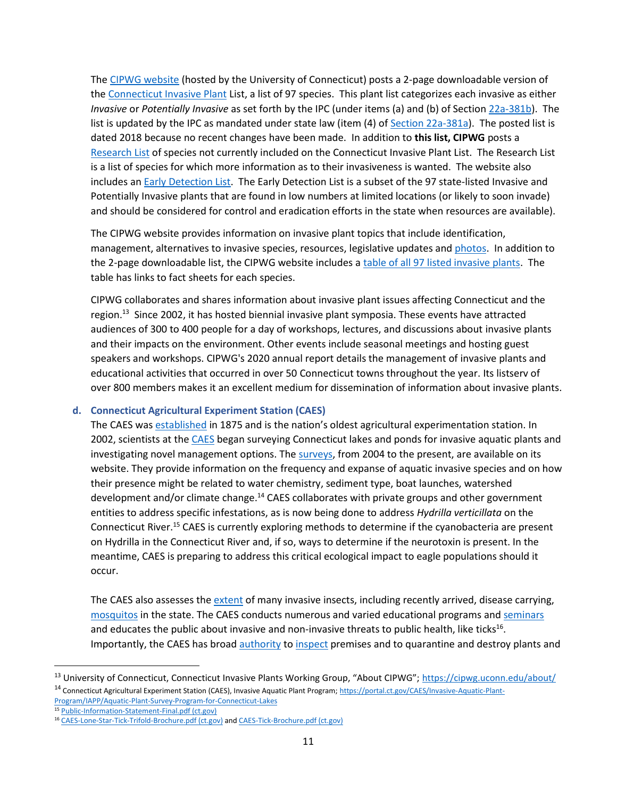The [CIPWG website](https://cipwg.uconn.edu/photo-notebook/) (hosted by the University of Connecticut) posts a 2-page downloadable version of th[e Connecticut Invasive Plant](https://cipwg.uconn.edu/wp-content/uploads/sites/244/2018/12/CT-Invasive-Plant-List-2018Scientific-Name.pdf) List, a list of 97 species. This plant list categorizes each invasive as either *Invasive* or *Potentially Invasive* as set forth by the IPC (under items (a) and (b) of Section [22a-381b\)](https://www.cga.ct.gov/current/pub/chap_446i.htm#sec_22a-381b). The list is updated by the IPC as mandated under state law (item (4) o[f Section 22a-381a\)](https://www.cga.ct.gov/current/pub/chap_446i.htm#sec_22a-381a). The posted list is dated 2018 because no recent changes have been made. In addition to **this list, CIPWG** posts a [Research List](https://cipwg.uconn.edu/wp-content/uploads/sites/244/2015/08/CT-Invasive-Plant-Research-List-Aug-2015.pdf) of species not currently included on the Connecticut Invasive Plant List. The Research List is a list of species for which more information as to their invasiveness is wanted. The website also includes an **Early Detection List.** The Early Detection List is a subset of the 97 state-listed Invasive and Potentially Invasive plants that are found in low numbers at limited locations (or likely to soon invade) and should be considered for control and eradication efforts in the state when resources are available).

The CIPWG website provides information on invasive plant topics that include identification, management, alternatives to invasive species, resources, legislative updates an[d photos.](https://cipwg.uconn.edu/photo-notebook/) In addition to the 2-page downloadable list, the CIPWG website includes [a table of all 97 listed invasive plants.](https://cipwg.uconn.edu/invasive_plant_list/) The table has links to fact sheets for each species.

CIPWG collaborates and shares information about invasive plant issues affecting Connecticut and the region.<sup>13</sup> Since 2002, it has hosted biennial invasive plant symposia. These events have attracted audiences of 300 to 400 people for a day of workshops, lectures, and discussions about invasive plants and their impacts on the environment. Other events include seasonal meetings and hosting guest speakers and workshops. CIPWG's 2020 annual report details the management of invasive plants and educational activities that occurred in over 50 Connecticut towns throughout the year. Its listserv of over 800 members makes it an excellent medium for dissemination of information about invasive plants.

## <span id="page-10-0"></span>**d. Connecticut Agricultural Experiment Station (CAES)**

The CAES was [established](https://portal.ct.gov/CAES/Publications/Publications/The-History-of-The-Connecticut-Agricultural-Experiment-Station) in 1875 and is the nation's oldest agricultural experimentation station. In 2002, scientists at the [CAES](https://portal.ct.gov/CAES) began surveying Connecticut lakes and ponds for invasive aquatic plants and investigating novel management options. The [surveys,](https://portal.ct.gov/CAES/Invasive-Aquatic-Plant-Program/Survey-Results/Survey-Results-by-Year) from 2004 to the present, are available on its website. They provide information on the frequency and expanse of aquatic invasive species and on how their presence might be related to water chemistry, sediment type, boat launches, watershed development and/or climate change.<sup>14</sup> CAES collaborates with private groups and other government entities to address specific infestations, as is now being done to address *Hydrilla verticillata* on the Connecticut River.<sup>15</sup> CAES is currently exploring methods to determine if the cyanobacteria are present on Hydrilla in the Connecticut River and, if so, ways to determine if the neurotoxin is present. In the meantime, CAES is preparing to address this critical ecological impact to eagle populations should it occur.

The CAES also assesses the [extent](https://eregulations.ct.gov/eRegsPortal/Browse/RCSA/Title_22Subtitle_22-84Section_22-84-5c/) of many invasive insects, including recently arrived, disease carrying, [mosquitos](https://portal.ct.gov/CAES/Mosquito-Testing/Introductory/State-of-Connecticut-Mosquito-Trapping-and-Arbovirus-Testing-Program) in the state. The CAES conducts numerous and varied educational programs an[d seminars](https://portal.ct.gov/CAES/Publications/Publications/CAES-Seminar-Series) and educates the public about invasive and non-invasive threats to public health, like ticks<sup>16</sup>. Importantly, the CAES has broad [authority](https://portal.ct.gov/CAES/Nursery-Registration/Information/Nursery-Inspection-and-Certification) to [inspect](https://portal.ct.gov/CAES/Nursery-Registration/Information/Connecticut-Plant-Pest-and-Nursery-Laws) premises and to quarantine and destroy plants and

<sup>&</sup>lt;sup>13</sup> University of Connecticut, Connecticut Invasive Plants Working Group, "About CIPWG"; <https://cipwg.uconn.edu/about/>

<sup>14</sup> Connecticut Agricultural Experiment Station (CAES), Invasive Aquatic Plant Program[; https://portal.ct.gov/CAES/Invasive-Aquatic-Plant-](https://portal.ct.gov/CAES/Invasive-Aquatic-Plant-Program/IAPP/Aquatic-Plant-Survey-Program-for-Connecticut-Lakes)

[Program/IAPP/Aquatic-Plant-Survey-Program-for-Connecticut-Lakes](https://portal.ct.gov/CAES/Invasive-Aquatic-Plant-Program/IAPP/Aquatic-Plant-Survey-Program-for-Connecticut-Lakes) <sup>15</sup> [Public-Information-Statement-Final.pdf \(ct.gov\)](https://portal.ct.gov/-/media/CAES/Invasive-Aquatic-Plant-Program/Survey-Results/C/Connecticut-River/Public-Information-Statement-Final.pdf)

<sup>16</sup> [CAES-Lone-Star-Tick-Trifold-Brochure.pdf \(ct.gov\)](https://portal.ct.gov/-/media/CAES/DOCUMENTS/Publications/Brochures/CAES-Lone-Star-Tick-Trifold-Brochure.pdf) an[d CAES-Tick-Brochure.pdf](https://portal.ct.gov/-/media/CAES/DOCUMENTS/Publications/Brochures/CAES-Tick-Brochure.pdf) (ct.gov)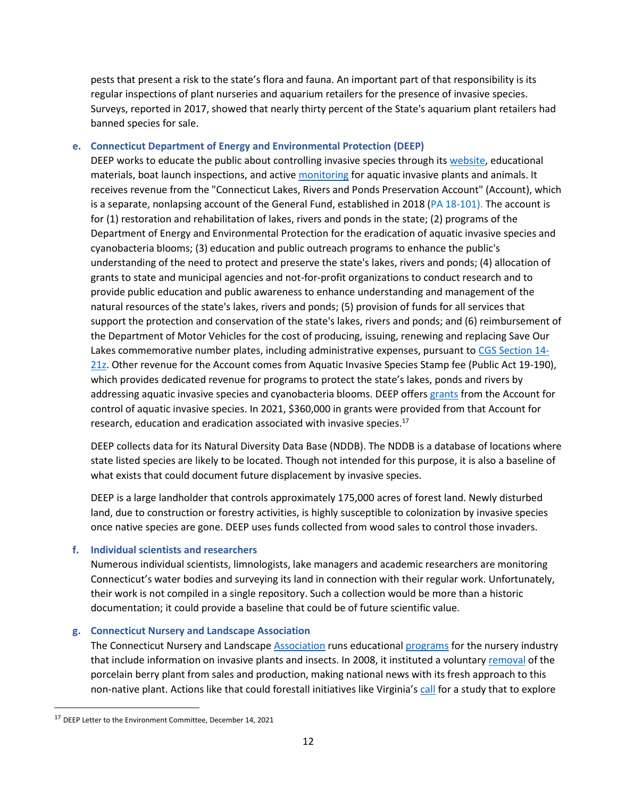pests that present a risk to the state's flora and fauna. An important part of that responsibility is its regular inspections of plant nurseries and aquarium retailers for the presence of invasive species. Surveys, reported in 2017, showed that nearly thirty percent of the State's aquarium plant retailers had banned species for sale.

## <span id="page-11-0"></span>**e. Connecticut Department of Energy and Environmental Protection (DEEP)**

DEEP works to educate the public about controlling invasive species through its [website,](https://portal.ct.gov/DEEP/Invasive-Species/Invasive-Species) educational materials, boat launch inspections, and activ[e monitoring](https://portal.ct.gov/DEEP/Invasive-Species/Invasive-Investigator-Program) for aquatic invasive plants and animals. It receives revenue from the "Connecticut Lakes, Rivers and Ponds Preservation Account" (Account), which is a separate, nonlapsing account of the General Fund, established in 2018 (PA 18-101). The account is for (1) restoration and rehabilitation of lakes, rivers and ponds in the state; (2) programs of the Department of Energy and Environmental Protection for the eradication of aquatic invasive species and cyanobacteria blooms; (3) education and public outreach programs to enhance the public's understanding of the need to protect and preserve the state's lakes, rivers and ponds; (4) allocation of grants to state and municipal agencies and not-for-profit organizations to conduct research and to provide public education and public awareness to enhance understanding and management of the natural resources of the state's lakes, rivers and ponds; (5) provision of funds for all services that support the protection and conservation of the state's lakes, rivers and ponds; and (6) reimbursement of the Department of Motor Vehicles for the cost of producing, issuing, renewing and replacing Save Our Lakes commemorative number plates, including administrative expenses, pursuant to [CGS Section 14-](https://www.cga.ct.gov/current/pub/chap_246.htm#sec_14-21z) [21z.](https://www.cga.ct.gov/current/pub/chap_246.htm#sec_14-21z) Other revenue for the Account comes from Aquatic Invasive Species Stamp fee (Public Act 19-190), which provides dedicated revenue for programs to protect the state's lakes, ponds and rivers by addressing aquatic invasive species and cyanobacteria blooms. DEEP offers [grants](https://portal.ct.gov/DEEP/News-Releases/News-Releases---2020/DEEP-Announces-Availability-of-Grants) from the Account for control of aquatic invasive species. In 2021, \$360,000 in grants were provided from that Account for research, education and eradication associated with invasive species.<sup>17</sup>

DEEP collects data for its Natural Diversity Data Base (NDDB). The NDDB is a database of locations where state listed species are likely to be located. Though not intended for this purpose, it is also a baseline of what exists that could document future displacement by invasive species.

DEEP is a large landholder that controls approximately 175,000 acres of forest land. Newly disturbed land, due to construction or forestry activities, is highly susceptible to colonization by invasive species once native species are gone. DEEP uses funds collected from wood sales to control those invaders.

## <span id="page-11-1"></span>**f. Individual scientists and researchers**

Numerous individual scientists, limnologists, lake managers and academic researchers are monitoring Connecticut's water bodies and surveying its land in connection with their regular work. Unfortunately, their work is not compiled in a single repository. Such a collection would be more than a historic documentation; it could provide a baseline that could be of future scientific value.

## <span id="page-11-2"></span>**g. Connecticut Nursery and Landscape Association**

The Connecticut Nursery and Landscape [Association](https://www.cnla.biz/) runs educationa[l programs](https://www.cnla.biz/events/list/?tribe_paged=1&tribe_event_display=past&tribe-bar-date=2021-12-06) for the nursery industry that include information on invasive plants and insects. In 2008, it instituted a voluntary [removal](https://cipwg.uconn.edu/wp-content/uploads/sites/244/2021/02/Porcelainberry-CACIWC20-final.pdf) of the porcelain berry plant from sales and production, making national news with its fresh approach to this non-native plant. Actions like that could forestall initiatives like Virginia's [call](https://vnps.org/action-alert-phasing-out-the-propagation-and-sale-of-invasive-plants/) for a study that to explore

<sup>17</sup> DEEP Letter to the Environment Committee, December 14, 2021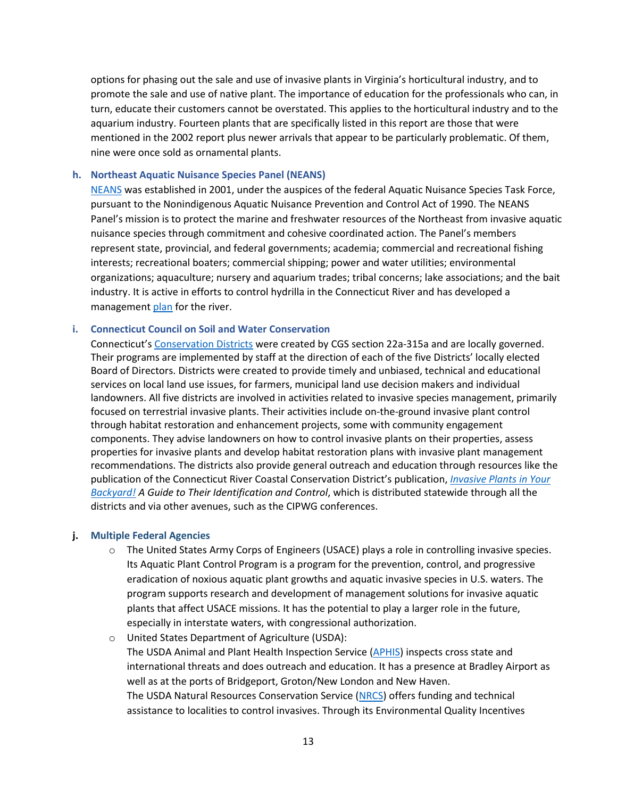options for phasing out the sale and use of invasive plants in Virginia's horticultural industry, and to promote the sale and use of native plant. The importance of education for the professionals who can, in turn, educate their customers cannot be overstated. This applies to the horticultural industry and to the aquarium industry. Fourteen plants that are specifically listed in this report are those that were mentioned in the 2002 report plus newer arrivals that appear to be particularly problematic. Of them, nine were once sold as ornamental plants.

## <span id="page-12-0"></span>**h. Northeast Aquatic Nuisance Species Panel (NEANS)**

[NEANS](https://www.northeastans.org/) was established in 2001, under the auspices of the federal Aquatic Nuisance Species Task Force, pursuant to the Nonindigenous Aquatic Nuisance Prevention and Control Act of 1990. The NEANS Panel's mission is to protect the marine and freshwater resources of the Northeast from invasive aquatic nuisance species through commitment and cohesive coordinated action. The Panel's members represent state, provincial, and federal governments; academia; commercial and recreational fishing interests; recreational boaters; commercial shipping; power and water utilities; environmental organizations; aquaculture; nursery and aquarium trades; tribal concerns; lake associations; and the bait industry. It is active in efforts to control hydrilla in the Connecticut River and has developed a management [plan](https://www.northeastans.org/wp-content/uploads/2021/02/CT-River-Hydrilla-Project-Five-Year-Management-Plan-FINAL.pdf) for the river.

## <span id="page-12-1"></span>**i. Connecticut Council on Soil and Water Conservation**

Connecticut's [Conservation Districts](http://www.ctcouncilonsoilandwater.org/) were created by CGS section 22a-315a and are locally governed. Their programs are implemented by staff at the direction of each of the five Districts' locally elected Board of Directors. Districts were created to provide timely and unbiased, technical and educational services on local land use issues, for farmers, municipal land use decision makers and individual landowners. All five districts are involved in activities related to invasive species management, primarily focused on terrestrial invasive plants. Their activities include on-the-ground invasive plant control through habitat restoration and enhancement projects, some with community engagement components. They advise landowners on how to control invasive plants on their properties, assess properties for invasive plants and develop habitat restoration plans with invasive plant management recommendations. The districts also provide general outreach and education through resources like the publication of the Connecticut River Coastal Conservation District's publication, *[Invasive Plants in Your](https://cipwg.uconn.edu/wp-content/uploads/sites/244/2016/12/Invasives_guide_2016_web.pdf)  [Backyard!](https://cipwg.uconn.edu/wp-content/uploads/sites/244/2016/12/Invasives_guide_2016_web.pdf) A Guide to Their Identification and Control*, which is distributed statewide through all the districts and via other avenues, such as the CIPWG conferences.

### <span id="page-12-2"></span>**j. Multiple Federal Agencies**

- o The United States Army Corps of Engineers (USACE) plays a role in controlling invasive species. Its Aquatic Plant Control Program is a program for the prevention, control, and progressive eradication of noxious aquatic plant growths and aquatic invasive species in U.S. waters. The program supports research and development of management solutions for invasive aquatic plants that affect USACE missions. It has the potential to play a larger role in the future, especially in interstate waters, with congressional authorization.
- o United States Department of Agriculture (USDA): The USDA Animal and Plant Health Inspection Service [\(APHIS\)](https://www.aphis.usda.gov/aphis/ourfocus/importexport) inspects cross state and international threats and does outreach and education. It has a presence at Bradley Airport as well as at the ports of Bridgeport, Groton/New London and New Haven. The USDA Natural Resources Conservation Service [\(NRCS\)](https://www.nrcs.usda.gov/wps/portal/nrcs/main/national/plantsanimals/invasive/) offers funding and technical assistance to localities to control invasives. Through its Environmental Quality Incentives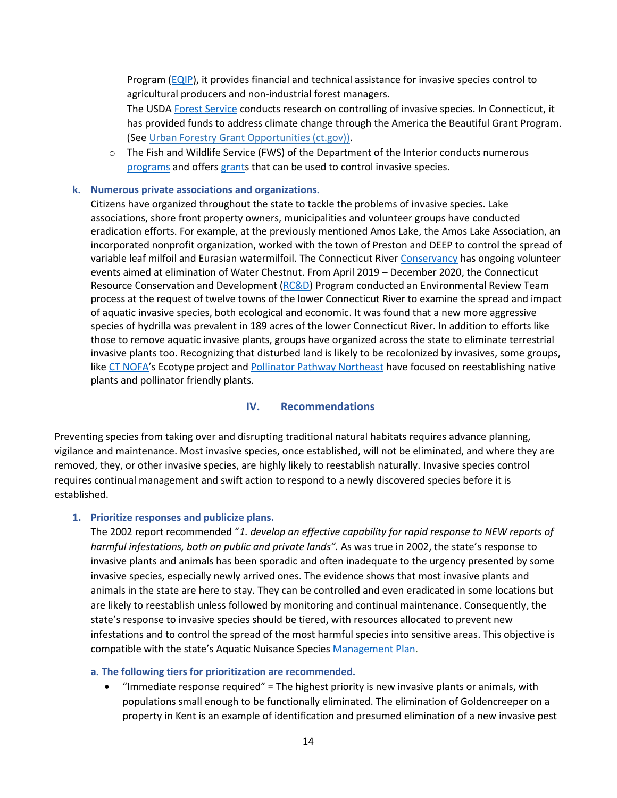Program [\(EQIP\)](https://www.nrcs.usda.gov/wps/portal/nrcs/main/national/programs/financial/eqip/), it provides financial and technical assistance for invasive species control to agricultural producers and non-industrial forest managers.

The USDA [Forest Service](https://www.fs.usda.gov/managing-land/invasive-species) conducts research on controlling of invasive species. In Connecticut, it has provided funds to address climate change through the America the Beautiful Grant Program. (See [Urban Forestry Grant Opportunities \(ct.gov\)\)](https://portal.ct.gov/DEEP/Forestry/Urban-Forestry/Urban-Forestry-Grant-Opportunities).

 $\circ$  The Fish and Wildlife Service (FWS) of the Department of the Interior conducts numerous [programs](https://search.usa.gov/search?utf8=%E2%9C%93&affiliate=fws.gov&query=invasive&commit=Search) and offers [grants](https://www.fws.gov/wsfrprograms/Subpages/GrantPrograms/SWG/SWG.htm) that can be used to control invasive species.

## <span id="page-13-0"></span>**k. Numerous private associations and organizations.**

Citizens have organized throughout the state to tackle the problems of invasive species. Lake associations, shore front property owners, municipalities and volunteer groups have conducted eradication efforts. For example, at the previously mentioned Amos Lake, the Amos Lake Association, an incorporated nonprofit organization, worked with the town of Preston and DEEP to control the spread of variable leaf milfoil and Eurasian watermilfoil. The Connecticut Rive[r Conservancy](https://www.ctriver.org/get-involved/stopping-an-invasive-species-water-chestnut-2/#volunteer) has ongoing volunteer events aimed at elimination of Water Chestnut. From April 2019 – December 2020, the Connecticut Resource Conservation and Development [\(RC&D\)](https://ctrcd.org/environment/) Program conducted an Environmental Review Team process at the request of twelve towns of the lower Connecticut River to examine the spread and impact of aquatic invasive species, both ecological and economic. It was found that a new more aggressive species of hydrilla was prevalent in 189 acres of the lower Connecticut River. In addition to efforts like those to remove aquatic invasive plants, groups have organized across the state to eliminate terrestrial invasive plants too. Recognizing that disturbed land is likely to be recolonized by invasives, some groups, like [CT NOFA](https://ctnofa.org/ecotypeproject/)'s Ecotype project and [Pollinator Pathway Northeast](https://www.pollinator-pathway.org/) have focused on reestablishing native plants and pollinator friendly plants.

## <span id="page-13-1"></span>**IV. Recommendations**

<span id="page-13-4"></span>Preventing species from taking over and disrupting traditional natural habitats requires advance planning, vigilance and maintenance. Most invasive species, once established, will not be eliminated, and where they are removed, they, or other invasive species, are highly likely to reestablish naturally. Invasive species control requires continual management and swift action to respond to a newly discovered species before it is established.

### <span id="page-13-2"></span>**1. Prioritize responses and publicize plans.**

The 2002 report recommended "*1. develop an effective capability for rapid response to NEW reports of harmful infestations, both on public and private lands".* As was true in 2002, the state's response to invasive plants and animals has been sporadic and often inadequate to the urgency presented by some invasive species, especially newly arrived ones. The evidence shows that most invasive plants and animals in the state are here to stay. They can be controlled and even eradicated in some locations but are likely to reestablish unless followed by monitoring and continual maintenance. Consequently, the state's response to invasive species should be tiered, with resources allocated to prevent new infestations and to control the spread of the most harmful species into sensitive areas. This objective is compatible with the state's Aquatic Nuisance Species [Management Plan.](https://www.fws.gov/anstaskforce/State%20Plans/CT_ANS_Plan.pdf)

### <span id="page-13-3"></span>**a. The following tiers for prioritization are recommended.**

• "Immediate response required" = The highest priority is new invasive plants or animals, with populations small enough to be functionally eliminated. The elimination of Goldencreeper on a property in Kent is an example of identification and presumed elimination of a new invasive pest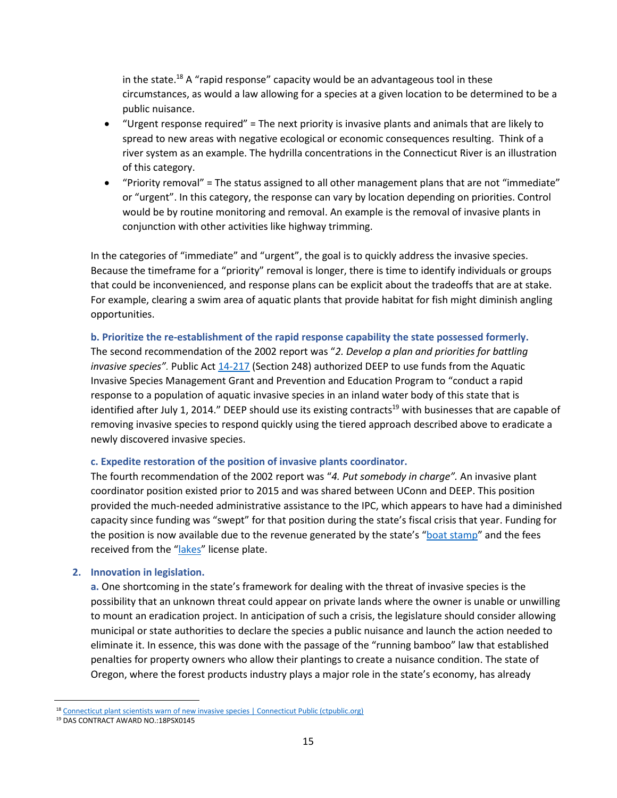in the state.<sup>18</sup> A "rapid response" capacity would be an advantageous tool in these circumstances, as would a law allowing for a species at a given location to be determined to be a public nuisance.

- "Urgent response required" = The next priority is invasive plants and animals that are likely to spread to new areas with negative ecological or economic consequences resulting. Think of a river system as an example. The hydrilla concentrations in the Connecticut River is an illustration of this category.
- "Priority removal" = The status assigned to all other management plans that are not "immediate" or "urgent". In this category, the response can vary by location depending on priorities. Control would be by routine monitoring and removal. An example is the removal of invasive plants in conjunction with other activities like highway trimming.

In the categories of "immediate" and "urgent", the goal is to quickly address the invasive species. Because the timeframe for a "priority" removal is longer, there is time to identify individuals or groups that could be inconvenienced, and response plans can be explicit about the tradeoffs that are at stake. For example, clearing a swim area of aquatic plants that provide habitat for fish might diminish angling opportunities.

## <span id="page-14-0"></span>**b. Prioritize the re-establishment of the rapid response capability the state possessed formerly.**

The second recommendation of the 2002 report was "*2. Develop a plan and priorities for battling invasive species".* Public Ac[t 14-217](https://www.cga.ct.gov/2014/ACT/PA/2014PA-00217-R00HB-05597-PA.htm) (Section 248) authorized DEEP to use funds from the Aquatic Invasive Species Management Grant and Prevention and Education Program to "conduct a rapid response to a population of aquatic invasive species in an inland water body of this state that is identified after July 1, 2014." DEEP should use its existing contracts<sup>19</sup> with businesses that are capable of removing invasive species to respond quickly using the tiered approach described above to eradicate a newly discovered invasive species.

## <span id="page-14-1"></span>**c. Expedite restoration of the position of invasive plants coordinator.**

The fourth recommendation of the 2002 report was "*4. Put somebody in charge".* An invasive plant coordinator position existed prior to 2015 and was shared between UConn and DEEP. This position provided the much-needed administrative assistance to the IPC, which appears to have had a diminished capacity since funding was "swept" for that position during the state's fiscal crisis that year. Funding for the position is now available due to the revenue generated by the state's "[boat stamp](https://portal.ct.gov/DEEP/Boating/FAQs/FAQ-AIS-Stamp)" and the fees received from the "[lakes](https://portal.ct.gov/DMV/Special-and-Vanity/Special-and-Vanity/Save-Our-Lakes-Plate)" license plate.

## <span id="page-14-2"></span>**2. Innovation in legislation.**

**a.** One shortcoming in the state's framework for dealing with the threat of invasive species is the possibility that an unknown threat could appear on private lands where the owner is unable or unwilling to mount an eradication project. In anticipation of such a crisis, the legislature should consider allowing municipal or state authorities to declare the species a public nuisance and launch the action needed to eliminate it. In essence, this was done with the passage of the "running bamboo" law that established penalties for property owners who allow their plantings to create a nuisance condition. The state of Oregon, where the forest products industry plays a major role in the state's economy, has already

<sup>&</sup>lt;sup>18</sup> [Connecticut plant scientists warn of new invasive species | Connecticut Public \(ctpublic.org\)](https://www.ctpublic.org/news/2021-11-01/connecticut-plant-scientists-warn-of-new-invasive-species)

<sup>19</sup> DAS CONTRACT AWARD NO.:18PSX0145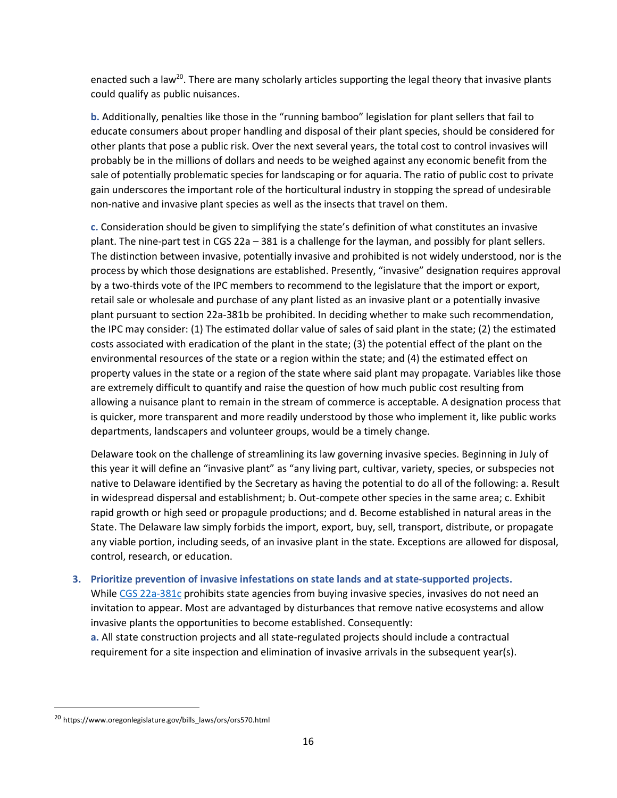enacted such a law<sup>20</sup>. There are many scholarly articles supporting the legal theory that invasive plants could qualify as public nuisances.

**b.** Additionally, penalties like those in the "running bamboo" legislation for plant sellers that fail to educate consumers about proper handling and disposal of their plant species, should be considered for other plants that pose a public risk. Over the next several years, the total cost to control invasives will probably be in the millions of dollars and needs to be weighed against any economic benefit from the sale of potentially problematic species for landscaping or for aquaria. The ratio of public cost to private gain underscores the important role of the horticultural industry in stopping the spread of undesirable non-native and invasive plant species as well as the insects that travel on them.

**c.** Consideration should be given to simplifying the state's definition of what constitutes an invasive plant. The nine-part test in CGS 22a – 381 is a challenge for the layman, and possibly for plant sellers. The distinction between invasive, potentially invasive and prohibited is not widely understood, nor is the process by which those designations are established. Presently, "invasive" designation requires approval by a two-thirds vote of the IPC members to recommend to the legislature that the import or export, retail sale or wholesale and purchase of any plant listed as an invasive plant or a potentially invasive plant pursuant to section 22a-381b be prohibited. In deciding whether to make such recommendation, the IPC may consider: (1) The estimated dollar value of sales of said plant in the state; (2) the estimated costs associated with eradication of the plant in the state; (3) the potential effect of the plant on the environmental resources of the state or a region within the state; and (4) the estimated effect on property values in the state or a region of the state where said plant may propagate. Variables like those are extremely difficult to quantify and raise the question of how much public cost resulting from allowing a nuisance plant to remain in the stream of commerce is acceptable. A designation process that is quicker, more transparent and more readily understood by those who implement it, like public works departments, landscapers and volunteer groups, would be a timely change.

Delaware took on the challenge of streamlining its law governing invasive species. Beginning in July of this year it will define an "invasive plant" as "any living part, cultivar, variety, species, or subspecies not native to Delaware identified by the Secretary as having the potential to do all of the following: a. Result in widespread dispersal and establishment; b. Out-compete other species in the same area; c. Exhibit rapid growth or high seed or propagule productions; and d. Become established in natural areas in the State. The Delaware law simply forbids the import, export, buy, sell, transport, distribute, or propagate any viable portion, including seeds, of an invasive plant in the state. Exceptions are allowed for disposal, control, research, or education.

## <span id="page-15-0"></span>**3. Prioritize prevention of invasive infestations on state lands and at state-supported projects.**

Whil[e CGS 22a-381c](https://www.cga.ct.gov/current/pub/chap_446i.htm#sec_22a-381c) prohibits state agencies from buying invasive species, invasives do not need an invitation to appear. Most are advantaged by disturbances that remove native ecosystems and allow invasive plants the opportunities to become established. Consequently:

**a.** All state construction projects and all state-regulated projects should include a contractual requirement for a site inspection and elimination of invasive arrivals in the subsequent year(s).

<sup>20</sup> https://www.oregonlegislature.gov/bills\_laws/ors/ors570.html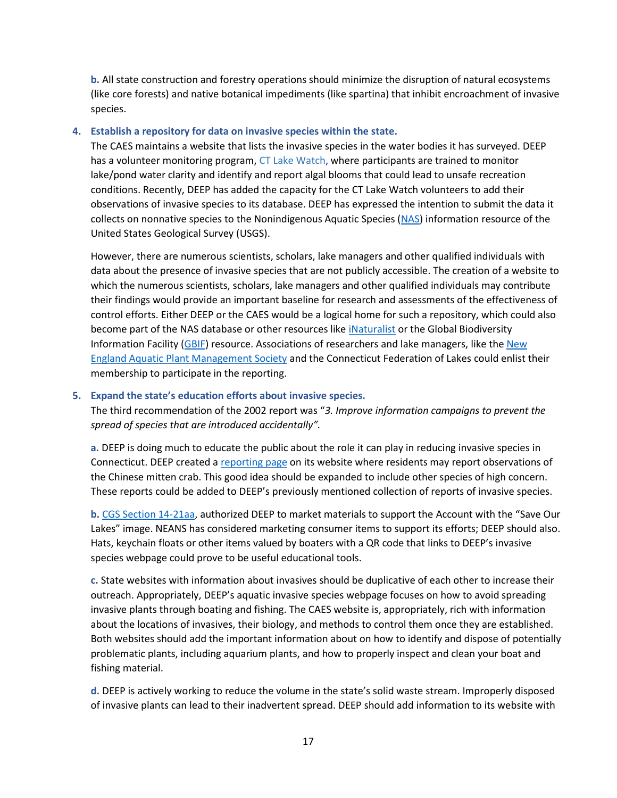**b.** All state construction and forestry operations should minimize the disruption of natural ecosystems (like core forests) and native botanical impediments (like spartina) that inhibit encroachment of invasive species.

### <span id="page-16-0"></span>**4. Establish a repository for data on invasive species within the state.**

The CAES maintains a website that lists the invasive species in the water bodies it has surveyed. DEEP has a volunteer monitoring program, [CT Lake Watch,](https://portal.ct.gov/DEEP/Water/Inland-Water-Monitoring/Connecticut-Lake-Watch) where participants are trained to monitor lake/pond water clarity and identify and report algal blooms that could lead to unsafe recreation conditions. Recently, DEEP has added the capacity for the CT Lake Watch volunteers to add their observations of invasive species to its database. DEEP has expressed the intention to submit the data it collects on nonnative species to the Nonindigenous Aquatic Species [\(NAS\)](https://nas.er.usgs.gov/) information resource of the United States Geological Survey (USGS).

However, there are numerous scientists, scholars, lake managers and other qualified individuals with data about the presence of invasive species that are not publicly accessible. The creation of a website to which the numerous scientists, scholars, lake managers and other qualified individuals may contribute their findings would provide an important baseline for research and assessments of the effectiveness of control efforts. Either DEEP or the CAES would be a logical home for such a repository, which could also become part of the NAS database or other resources like [iNaturalist](https://www.inaturalist.org/) or the Global Biodiversity Information Facility [\(GBIF\)](file://///deep/dfs/Shared/CEQ/Misc/Invasive%20Species/Global%20Biodiversity%20Information%20Facility) resource. Associations of researchers and lake managers, like the New [England Aquatic Plant Management Society](http://www.neapms.org/) and the Connecticut Federation of Lakes could enlist their membership to participate in the reporting.

### <span id="page-16-1"></span>**5. Expand the state's education efforts about invasive species.**

The third recommendation of the 2002 report was "*3. Improve information campaigns to prevent the spread of species that are introduced accidentally".*

**a.** DEEP is doing much to educate the public about the role it can play in reducing invasive species in Connecticut. DEEP created a [reporting page](https://survey123.arcgis.com/share/445638256bfb4215bb48978f4106592f) on its website where residents may report observations of the Chinese mitten crab. This good idea should be expanded to include other species of high concern. These reports could be added to DEEP's previously mentioned collection of reports of invasive species.

**b.** [CGS Section 14-21aa,](https://www.cga.ct.gov/current/pub/chap_246.htm#sec_14-21aa) authorized DEEP to market materials to support the Account with the "Save Our Lakes" image. NEANS has considered marketing consumer items to support its efforts; DEEP should also. Hats, keychain floats or other items valued by boaters with a QR code that links to DEEP's invasive species webpage could prove to be useful educational tools.

**c.** State websites with information about invasives should be duplicative of each other to increase their outreach. Appropriately, DEEP's aquatic invasive species webpage focuses on how to avoid spreading invasive plants through boating and fishing. The CAES website is, appropriately, rich with information about the locations of invasives, their biology, and methods to control them once they are established. Both websites should add the important information about on how to identify and dispose of potentially problematic plants, including aquarium plants, and how to properly inspect and clean your boat and fishing material.

**d.** DEEP is actively working to reduce the volume in the state's solid waste stream. Improperly disposed of invasive plants can lead to their inadvertent spread. DEEP should add information to its website with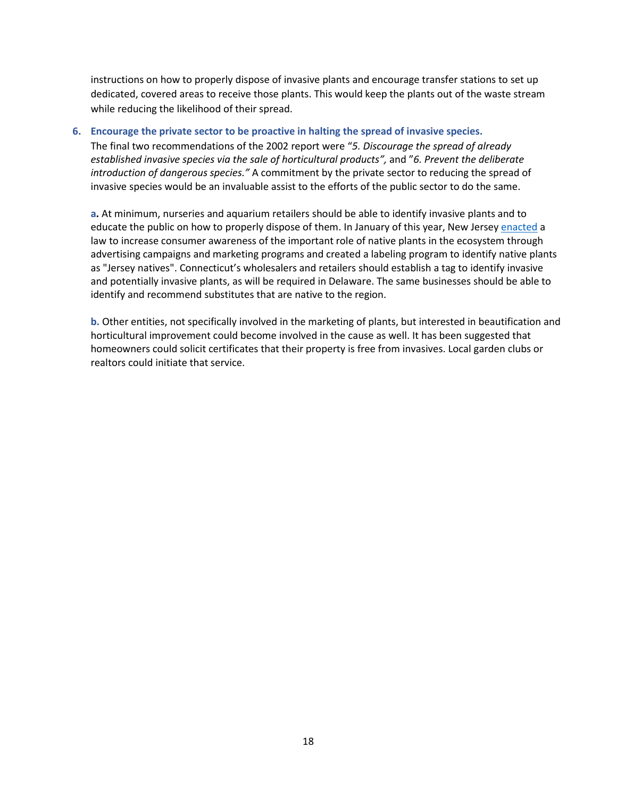instructions on how to properly dispose of invasive plants and encourage transfer stations to set up dedicated, covered areas to receive those plants. This would keep the plants out of the waste stream while reducing the likelihood of their spread.

#### <span id="page-17-0"></span>**6. Encourage the private sector to be proactive in halting the spread of invasive species.**

The final two recommendations of the 2002 report were "*5. Discourage the spread of already established invasive species via the sale of horticultural products",* and "*6. Prevent the deliberate introduction of dangerous species."* A commitment by the private sector to reducing the spread of invasive species would be an invaluable assist to the efforts of the public sector to do the same.

**a.** At minimum, nurseries and aquarium retailers should be able to identify invasive plants and to educate the public on how to properly dispose of them. In January of this year, New Jersey [enacted](https://www.billtrack50.com/billdetail/1172313) a law to increase consumer awareness of the important role of native plants in the ecosystem through advertising campaigns and marketing programs and created a labeling program to identify native plants as "Jersey natives". Connecticut's wholesalers and retailers should establish a tag to identify invasive and potentially invasive plants, as will be required in Delaware. The same businesses should be able to identify and recommend substitutes that are native to the region.

**b.** Other entities, not specifically involved in the marketing of plants, but interested in beautification and horticultural improvement could become involved in the cause as well. It has been suggested that homeowners could solicit certificates that their property is free from invasives. Local garden clubs or realtors could initiate that service.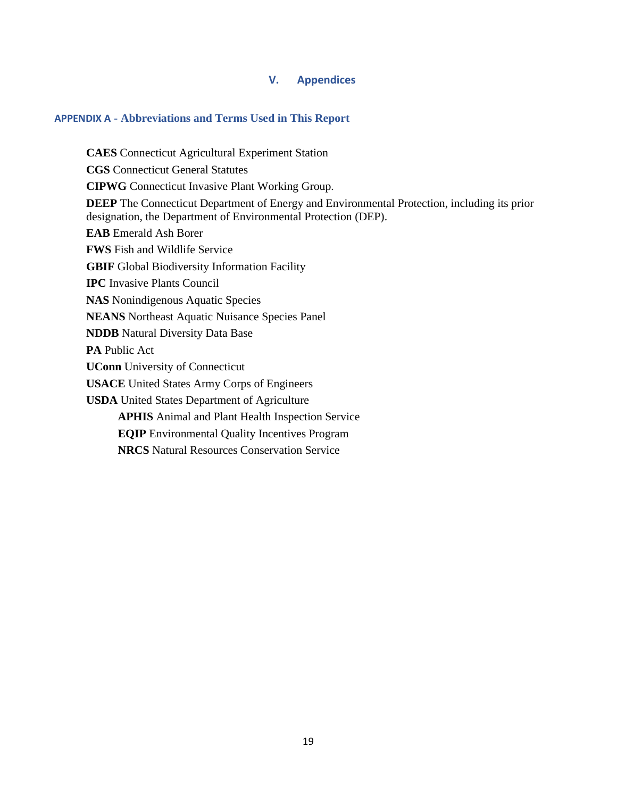## **V. Appendices**

## <span id="page-18-1"></span><span id="page-18-0"></span>**APPENDIX A - Abbreviations and Terms Used in This Report**

**CAES** Connecticut Agricultural Experiment Station **CGS** Connecticut General Statutes **CIPWG** Connecticut Invasive Plant Working Group. **DEEP** The Connecticut Department of Energy and Environmental Protection, including its prior designation, the Department of Environmental Protection (DEP). **EAB** Emerald Ash Borer **FWS** Fish and Wildlife Service **GBIF** Global Biodiversity Information Facility **IPC** Invasive Plants Council **NAS** Nonindigenous Aquatic Species **NEANS** Northeast Aquatic Nuisance Species Panel **NDDB** Natural Diversity Data Base **PA** Public Act **UConn** University of Connecticut **USACE** United States Army Corps of Engineers **USDA** United States Department of Agriculture **APHIS** Animal and Plant Health Inspection Service **EQIP** Environmental Quality Incentives Program **NRCS** Natural Resources Conservation Service